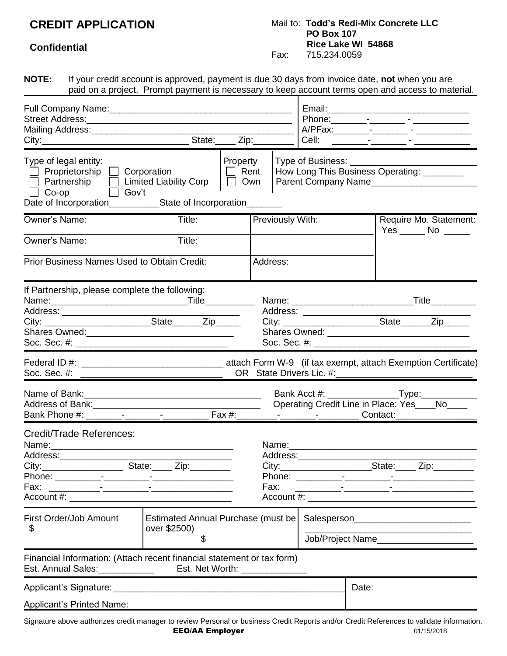## **CREDIT APPLICATION**

## Mail to: **Todd's Redi-Mix Concrete LLC PO Box 107 Rice Lake WI 54868**<br>Fax: 715.234.0059 Fax: 715.234.0059

## **Confidential**

| <b>NOTE:</b>                                                                                                                                                                                             | If your credit account is approved, payment is due 30 days from invoice date, not when you are<br>paid on a project. Prompt payment is necessary to keep account terms open and access to material. |                                       |                              |                                                                                   |                               |                                                                    |
|----------------------------------------------------------------------------------------------------------------------------------------------------------------------------------------------------------|-----------------------------------------------------------------------------------------------------------------------------------------------------------------------------------------------------|---------------------------------------|------------------------------|-----------------------------------------------------------------------------------|-------------------------------|--------------------------------------------------------------------|
| Street Address: <u>Andreas Address and Address and Address and Address and Address and Address and Address and A</u>                                                                                     |                                                                                                                                                                                                     |                                       |                              | A/PFax:________-_-__________-_______-<br>Cell: ________-_________ - _____________ |                               |                                                                    |
| Type of legal entity:<br>$\Box$ Proprietorship $\Box$ Corporation<br>Partnership   Limited Liability Corp<br>□ Gov't<br>$\Box$ Co-op<br>Date of Incorporation_____________State of Incorporation________ |                                                                                                                                                                                                     | Property<br>$\Box$ Rent<br>$\Box$ Own |                              |                                                                                   | Type of Business: ___________ | How Long This Business Operating: _________<br>Parent Company Name |
| Owner's Name:<br>Owner's Name:                                                                                                                                                                           | Title:<br>Title:<br><b>Prior Business Names Used to Obtain Credit:</b>                                                                                                                              |                                       | Previously With:<br>Address: |                                                                                   |                               | Require Mo. Statement:<br>$Yes$ No $\_\_\_\_\$                     |
| If Partnership, please complete the following:<br>Name:___________________________________Title____________                                                                                              |                                                                                                                                                                                                     |                                       |                              | Address: ____________________                                                     |                               |                                                                    |
|                                                                                                                                                                                                          |                                                                                                                                                                                                     |                                       |                              |                                                                                   |                               | Operating Credit Line in Place: Yes____No___                       |
| Credit/Trade References:<br>Name:<br>Fax:                                                                                                                                                                |                                                                                                                                                                                                     |                                       | Name:<br>Fax:                |                                                                                   |                               |                                                                    |
| First Order/Job Amount<br>Estimated Annual Purchase (must be<br>over \$2500)<br>\$<br>\$                                                                                                                 |                                                                                                                                                                                                     |                                       |                              | Job/Project Name______________________                                            |                               |                                                                    |
| Financial Information: (Attach recent financial statement or tax form)                                                                                                                                   |                                                                                                                                                                                                     |                                       |                              |                                                                                   |                               |                                                                    |
| Applicant's Printed Name:                                                                                                                                                                                |                                                                                                                                                                                                     |                                       |                              |                                                                                   | Date:                         |                                                                    |

Signature above authorizes credit manager to review Personal or business Credit Reports and/or Credit References to validate information. EEO/AA Employer 01/15/2018